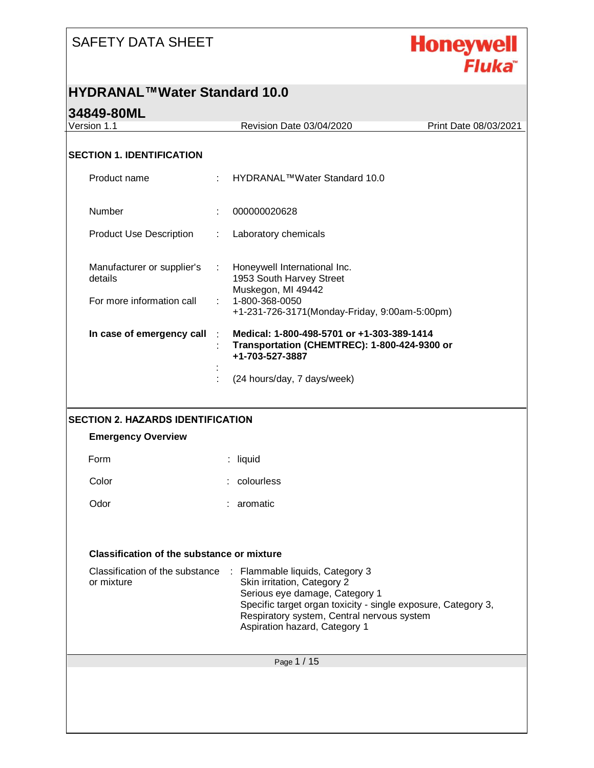

#### **HYDRANAL™Water Standard 10.0**

| Version 1.1                                       |    | Revision Date 03/04/2020                                                                                                                                                                                                                                         | Print Date 08/03/2021 |
|---------------------------------------------------|----|------------------------------------------------------------------------------------------------------------------------------------------------------------------------------------------------------------------------------------------------------------------|-----------------------|
|                                                   |    |                                                                                                                                                                                                                                                                  |                       |
| <b>SECTION 1. IDENTIFICATION</b>                  |    |                                                                                                                                                                                                                                                                  |                       |
| Product name                                      | ÷  | HYDRANAL™Water Standard 10.0                                                                                                                                                                                                                                     |                       |
| Number                                            |    | 000000020628                                                                                                                                                                                                                                                     |                       |
| <b>Product Use Description</b>                    | ÷  | Laboratory chemicals                                                                                                                                                                                                                                             |                       |
| Manufacturer or supplier's<br>details             |    | Honeywell International Inc.<br>1953 South Harvey Street<br>Muskegon, MI 49442                                                                                                                                                                                   |                       |
| For more information call                         | t. | 1-800-368-0050<br>+1-231-726-3171(Monday-Friday, 9:00am-5:00pm)                                                                                                                                                                                                  |                       |
| In case of emergency call                         |    | Medical: 1-800-498-5701 or +1-303-389-1414<br>Transportation (CHEMTREC): 1-800-424-9300 or<br>+1-703-527-3887                                                                                                                                                    |                       |
|                                                   |    | (24 hours/day, 7 days/week)                                                                                                                                                                                                                                      |                       |
|                                                   |    |                                                                                                                                                                                                                                                                  |                       |
| <b>SECTION 2. HAZARDS IDENTIFICATION</b>          |    |                                                                                                                                                                                                                                                                  |                       |
| <b>Emergency Overview</b>                         |    |                                                                                                                                                                                                                                                                  |                       |
| Form                                              |    | : liquid                                                                                                                                                                                                                                                         |                       |
| Color                                             |    | colourless                                                                                                                                                                                                                                                       |                       |
| Odor                                              |    | aromatic                                                                                                                                                                                                                                                         |                       |
|                                                   |    |                                                                                                                                                                                                                                                                  |                       |
| <b>Classification of the substance or mixture</b> |    |                                                                                                                                                                                                                                                                  |                       |
| Classification of the substance<br>or mixture     |    | $\sim 10^{-1}$<br>Flammable liquids, Category 3<br>Skin irritation, Category 2<br>Serious eye damage, Category 1<br>Specific target organ toxicity - single exposure, Category 3,<br>Respiratory system, Central nervous system<br>Aspiration hazard, Category 1 |                       |
|                                                   |    |                                                                                                                                                                                                                                                                  |                       |
|                                                   |    | Page 1 / 15                                                                                                                                                                                                                                                      |                       |
|                                                   |    |                                                                                                                                                                                                                                                                  |                       |
|                                                   |    |                                                                                                                                                                                                                                                                  |                       |
|                                                   |    |                                                                                                                                                                                                                                                                  |                       |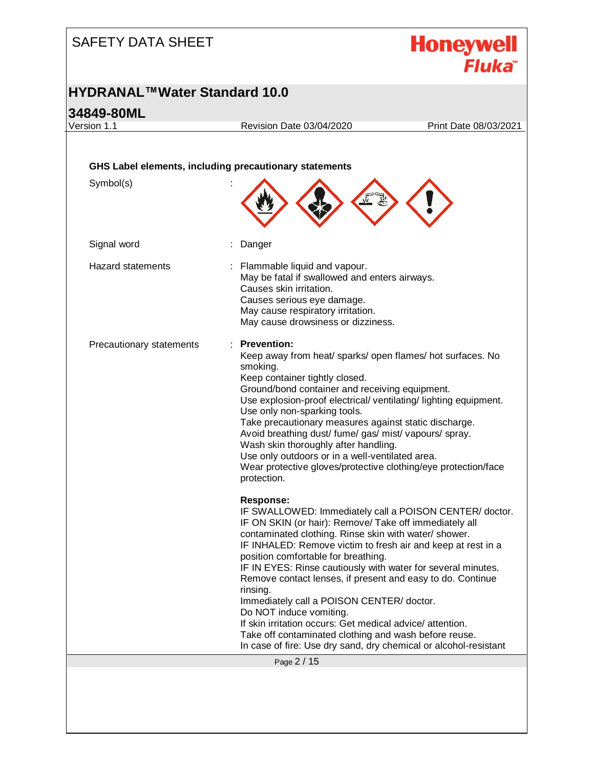

#### **HYDRANAL™Water Standard 10.0**

#### **34849-80ML**

Page 2 / 15 Version 1.1 Revision Date 03/04/2020 Print Date 08/03/2021 **GHS Label elements, including precautionary statements** Symbol(s) : Signal word : Danger Hazard statements : Flammable liquid and vapour. May be fatal if swallowed and enters airways. Causes skin irritation. Causes serious eye damage. May cause respiratory irritation. May cause drowsiness or dizziness. Precautionary statements : **Prevention:**  Keep away from heat/ sparks/ open flames/ hot surfaces. No smoking. Keep container tightly closed. Ground/bond container and receiving equipment. Use explosion-proof electrical/ ventilating/ lighting equipment. Use only non-sparking tools. Take precautionary measures against static discharge. Avoid breathing dust/ fume/ gas/ mist/ vapours/ spray. Wash skin thoroughly after handling. Use only outdoors or in a well-ventilated area. Wear protective gloves/protective clothing/eye protection/face protection. **Response:**  IF SWALLOWED: Immediately call a POISON CENTER/ doctor. IF ON SKIN (or hair): Remove/ Take off immediately all contaminated clothing. Rinse skin with water/ shower. IF INHALED: Remove victim to fresh air and keep at rest in a position comfortable for breathing. IF IN EYES: Rinse cautiously with water for several minutes. Remove contact lenses, if present and easy to do. Continue rinsing. Immediately call a POISON CENTER/ doctor. Do NOT induce vomiting. If skin irritation occurs: Get medical advice/ attention. Take off contaminated clothing and wash before reuse. In case of fire: Use dry sand, dry chemical or alcohol-resistant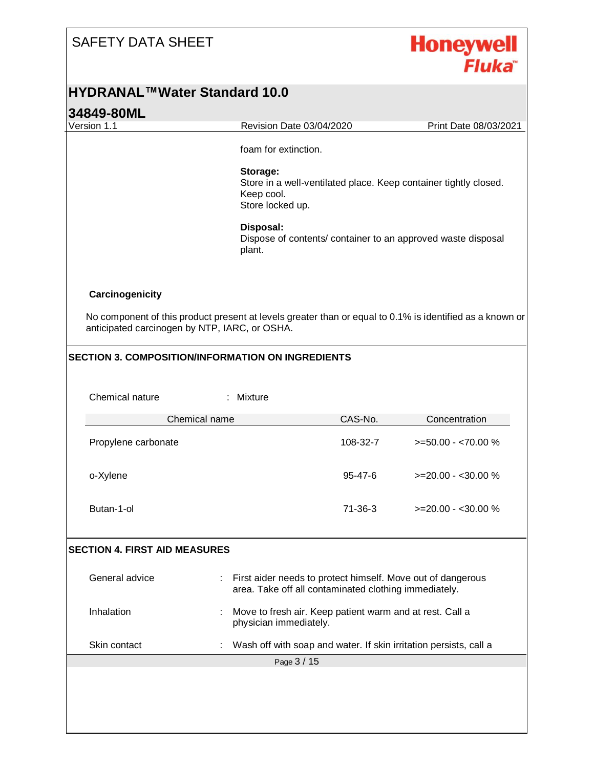

#### **HYDRANAL™Water Standard 10.0**

# **34849-80ML** Page 3 / 15 Version 1.1 Revision Date 03/04/2020 Print Date 08/03/2021 foam for extinction. **Storage:**  Store in a well-ventilated place. Keep container tightly closed. Keep cool. Store locked up. **Disposal:**  Dispose of contents/ container to an approved waste disposal plant. **Carcinogenicity** No component of this product present at levels greater than or equal to 0.1% is identified as a known or anticipated carcinogen by NTP, IARC, or OSHA. **SECTION 3. COMPOSITION/INFORMATION ON INGREDIENTS** Chemical nature : Mixture Chemical name CAS-No. Concentration Propylene carbonate 108-32-7 >=50.00 - <70.00 % o-Xylene 95-47-6 >=20.00 - <30.00 % Butan-1-ol 71-36-3 >=20.00 - <30.00 % **SECTION 4. FIRST AID MEASURES** General advice **interpretatal interpretatal interpretatal interpretatal conducts** Ceneral advice area. Take off all contaminated clothing immediately. Inhalation **included**: Move to fresh air. Keep patient warm and at rest. Call a physician immediately. Skin contact **in the Contact Contact Skin contact is contact** in the Wash off with soap and water. If skin irritation persists, call a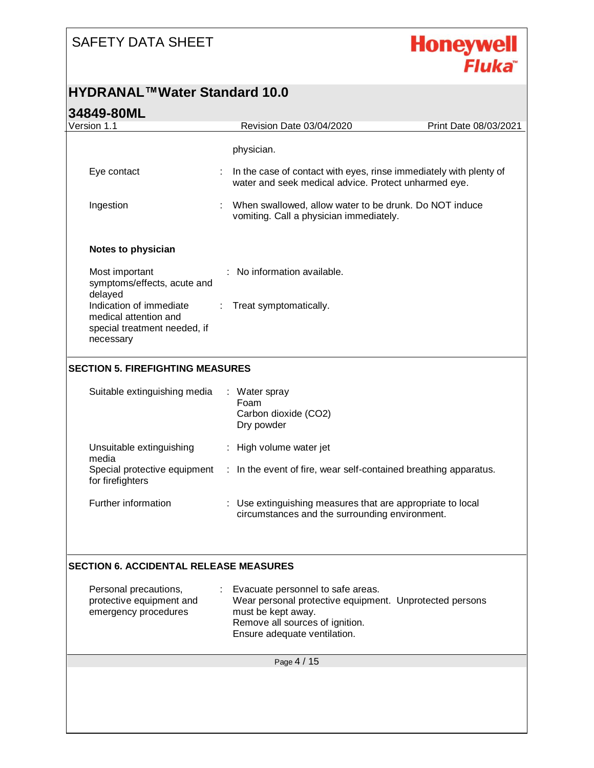

#### **HYDRANAL™Water Standard 10.0**

| Version 1.1                                                                                   |   | Revision Date 03/04/2020                                                                                                                                                              | Print Date 08/03/2021 |
|-----------------------------------------------------------------------------------------------|---|---------------------------------------------------------------------------------------------------------------------------------------------------------------------------------------|-----------------------|
|                                                                                               |   | physician.                                                                                                                                                                            |                       |
| Eye contact                                                                                   |   | In the case of contact with eyes, rinse immediately with plenty of<br>water and seek medical advice. Protect unharmed eye.                                                            |                       |
| Ingestion                                                                                     |   | When swallowed, allow water to be drunk. Do NOT induce<br>vomiting. Call a physician immediately.                                                                                     |                       |
| Notes to physician                                                                            |   |                                                                                                                                                                                       |                       |
| Most important<br>symptoms/effects, acute and<br>delayed                                      |   | No information available.                                                                                                                                                             |                       |
| Indication of immediate<br>medical attention and<br>special treatment needed, if<br>necessary | ÷ | Treat symptomatically.                                                                                                                                                                |                       |
| <b>SECTION 5. FIREFIGHTING MEASURES</b>                                                       |   |                                                                                                                                                                                       |                       |
| Suitable extinguishing media                                                                  |   | : Water spray<br>Foam<br>Carbon dioxide (CO2)<br>Dry powder                                                                                                                           |                       |
| Unsuitable extinguishing<br>media                                                             |   | : High volume water jet                                                                                                                                                               |                       |
| Special protective equipment<br>for firefighters                                              |   | : In the event of fire, wear self-contained breathing apparatus.                                                                                                                      |                       |
| Further information                                                                           |   | : Use extinguishing measures that are appropriate to local<br>circumstances and the surrounding environment.                                                                          |                       |
| <b>SECTION 6. ACCIDENTAL RELEASE MEASURES</b>                                                 |   |                                                                                                                                                                                       |                       |
| Personal precautions,<br>protective equipment and<br>emergency procedures                     |   | Evacuate personnel to safe areas.<br>Wear personal protective equipment. Unprotected persons<br>must be kept away.<br>Remove all sources of ignition.<br>Ensure adequate ventilation. |                       |
|                                                                                               |   | Page 4 / 15                                                                                                                                                                           |                       |
|                                                                                               |   |                                                                                                                                                                                       |                       |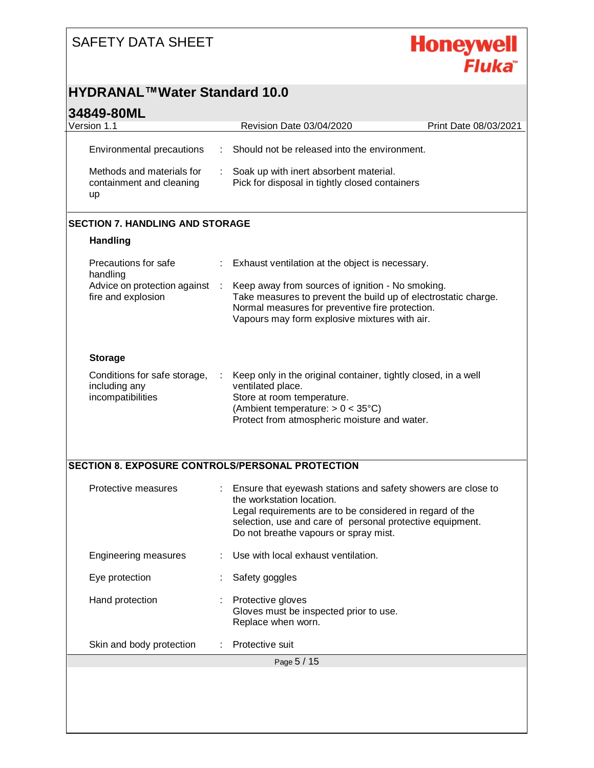

#### **HYDRANAL™Water Standard 10.0**

| Version 1.1                                                        |    | Revision Date 03/04/2020                                                                                                                                                                                                                                    | Print Date 08/03/2021 |
|--------------------------------------------------------------------|----|-------------------------------------------------------------------------------------------------------------------------------------------------------------------------------------------------------------------------------------------------------------|-----------------------|
| Environmental precautions                                          |    | Should not be released into the environment.                                                                                                                                                                                                                |                       |
| Methods and materials for<br>containment and cleaning<br>up        |    | Soak up with inert absorbent material.<br>Pick for disposal in tightly closed containers                                                                                                                                                                    |                       |
| <b>SECTION 7. HANDLING AND STORAGE</b>                             |    |                                                                                                                                                                                                                                                             |                       |
| <b>Handling</b>                                                    |    |                                                                                                                                                                                                                                                             |                       |
| Precautions for safe<br>handling                                   |    | Exhaust ventilation at the object is necessary.                                                                                                                                                                                                             |                       |
| Advice on protection against<br>fire and explosion                 |    | Keep away from sources of ignition - No smoking.<br>Take measures to prevent the build up of electrostatic charge.<br>Normal measures for preventive fire protection.<br>Vapours may form explosive mixtures with air.                                      |                       |
| <b>Storage</b>                                                     |    |                                                                                                                                                                                                                                                             |                       |
| Conditions for safe storage,<br>including any<br>incompatibilities |    | Keep only in the original container, tightly closed, in a well<br>ventilated place.<br>Store at room temperature.<br>(Ambient temperature: $> 0 < 35^{\circ}$ C)<br>Protect from atmospheric moisture and water.                                            |                       |
|                                                                    |    | SECTION 8. EXPOSURE CONTROLS/PERSONAL PROTECTION                                                                                                                                                                                                            |                       |
|                                                                    |    |                                                                                                                                                                                                                                                             |                       |
| Protective measures                                                | t. | Ensure that eyewash stations and safety showers are close to<br>the workstation location.<br>Legal requirements are to be considered in regard of the<br>selection, use and care of personal protective equipment.<br>Do not breathe vapours or spray mist. |                       |
| <b>Engineering measures</b>                                        |    | Use with local exhaust ventilation.                                                                                                                                                                                                                         |                       |
| Eye protection                                                     |    | Safety goggles                                                                                                                                                                                                                                              |                       |
| Hand protection                                                    |    | Protective gloves<br>Gloves must be inspected prior to use.<br>Replace when worn.                                                                                                                                                                           |                       |
| Skin and body protection                                           |    | Protective suit                                                                                                                                                                                                                                             |                       |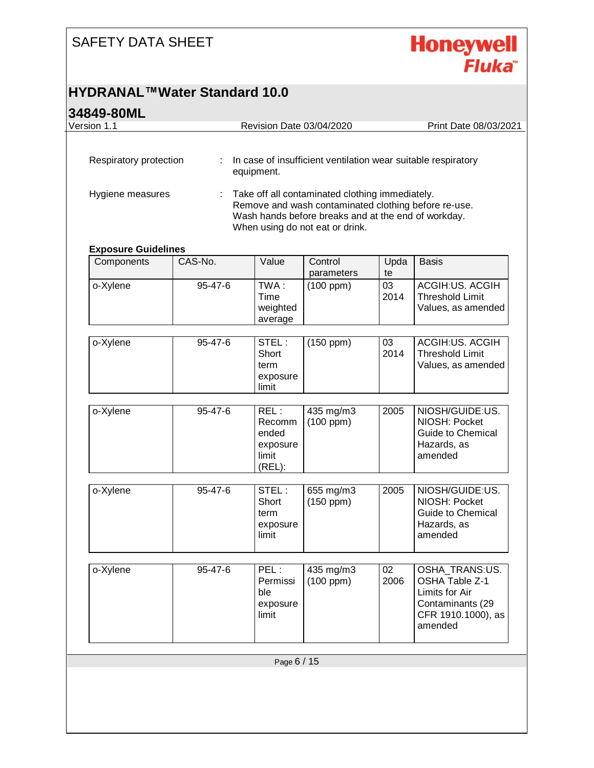

#### **HYDRANAL™Water Standard 10.0**

| Version 1.1<br>Respiratory protection | ÷       | Revision Date 03/04/2020                               |                                                                                                                                                                                                   |            | Print Date 08/03/2021                                                                                   |
|---------------------------------------|---------|--------------------------------------------------------|---------------------------------------------------------------------------------------------------------------------------------------------------------------------------------------------------|------------|---------------------------------------------------------------------------------------------------------|
|                                       |         |                                                        |                                                                                                                                                                                                   |            |                                                                                                         |
|                                       |         | equipment.                                             | In case of insufficient ventilation wear suitable respiratory                                                                                                                                     |            |                                                                                                         |
| Hygiene measures                      | ÷       |                                                        | Take off all contaminated clothing immediately.<br>Remove and wash contaminated clothing before re-use.<br>Wash hands before breaks and at the end of workday.<br>When using do not eat or drink. |            |                                                                                                         |
| <b>Exposure Guidelines</b>            |         |                                                        |                                                                                                                                                                                                   |            |                                                                                                         |
| Components                            | CAS-No. | Value                                                  | Control<br>parameters                                                                                                                                                                             | Upda<br>te | <b>Basis</b>                                                                                            |
| o-Xylene                              | 95-47-6 | TWA:<br><b>Time</b><br>weighted<br>average             | $(100$ ppm $)$                                                                                                                                                                                    | 03<br>2014 | <b>ACGIH:US. ACGIH</b><br><b>Threshold Limit</b><br>Values, as amended                                  |
| o-Xylene                              | 95-47-6 | STEL:<br>Short<br>term<br>exposure<br>limit            | $(150$ ppm $)$                                                                                                                                                                                    | 03<br>2014 | <b>ACGIH:US. ACGIH</b><br><b>Threshold Limit</b><br>Values, as amended                                  |
| o-Xylene                              | 95-47-6 | REL:<br>Recomm<br>ended<br>exposure<br>limit<br>(REL): | 435 mg/m3<br>$(100$ ppm $)$                                                                                                                                                                       | 2005       | NIOSH/GUIDE:US.<br>NIOSH: Pocket<br><b>Guide to Chemical</b><br>Hazards, as<br>amended                  |
| o-Xylene                              | 95-47-6 | STEL:<br>Short<br>term<br>exposure<br>limit            | 655 mg/m3<br>$(150$ ppm $)$                                                                                                                                                                       | 2005       | NIOSH/GUIDE:US.<br>NIOSH: Pocket<br><b>Guide to Chemical</b><br>Hazards, as<br>amended                  |
| o-Xylene                              | 95-47-6 | PEL:<br>Permissi<br>ble<br>exposure<br>limit           | 435 mg/m3<br>$(100$ ppm $)$                                                                                                                                                                       | 02<br>2006 | OSHA_TRANS:US.<br>OSHA Table Z-1<br>Limits for Air<br>Contaminants (29<br>CFR 1910.1000), as<br>amended |
|                                       |         |                                                        |                                                                                                                                                                                                   |            |                                                                                                         |
|                                       |         | Page 6 / 15                                            |                                                                                                                                                                                                   |            |                                                                                                         |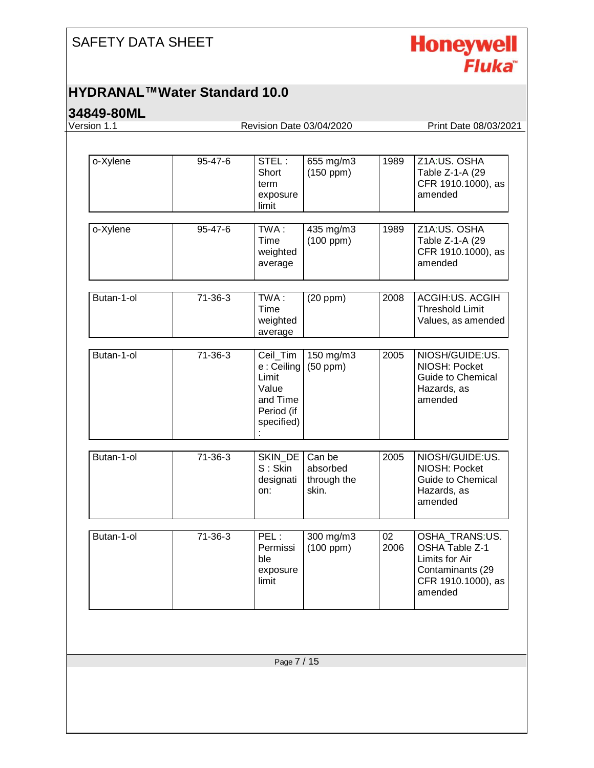

#### **HYDRANAL™Water Standard 10.0**

| Version 1.1 |           | Revision Date 03/04/2020                                                          |                                            |            | Print Date 08/03/2021                                                                                   |
|-------------|-----------|-----------------------------------------------------------------------------------|--------------------------------------------|------------|---------------------------------------------------------------------------------------------------------|
| o-Xylene    | 95-47-6   | STEL:<br>Short<br>term<br>exposure<br>limit                                       | 655 mg/m3<br>$(150$ ppm $)$                | 1989       | Z1A:US. OSHA<br>Table Z-1-A (29<br>CFR 1910.1000), as<br>amended                                        |
| o-Xylene    | 95-47-6   | TWA:<br>Time<br>weighted<br>average                                               | 435 mg/m3<br>$(100$ ppm $)$                | 1989       | Z1A:US. OSHA<br>Table Z-1-A (29<br>CFR 1910.1000), as<br>amended                                        |
| Butan-1-ol  | $71-36-3$ | TWA:<br>Time<br>weighted<br>average                                               | $(20$ ppm $)$                              | 2008       | ACGIH:US. ACGIH<br><b>Threshold Limit</b><br>Values, as amended                                         |
| Butan-1-ol  | 71-36-3   | Ceil_Tim<br>e : Ceiling<br>Limit<br>Value<br>and Time<br>Period (if<br>specified) | 150 mg/m3<br>$(50$ ppm $)$                 | 2005       | NIOSH/GUIDE:US.<br>NIOSH: Pocket<br><b>Guide to Chemical</b><br>Hazards, as<br>amended                  |
| Butan-1-ol  | $71-36-3$ | SKIN_DE<br>S: Skin<br>designati<br>on:                                            | Can be<br>absorbed<br>through the<br>skin. | 2005       | NIOSH/GUIDE:US.<br>NIOSH: Pocket<br><b>Guide to Chemical</b><br>Hazards, as<br>amended                  |
| Butan-1-ol  | 71-36-3   | PEL:<br>Permissi<br>ble<br>exposure<br>limit                                      | 300 mg/m3<br>$(100$ ppm $)$                | 02<br>2006 | OSHA TRANS:US.<br>OSHA Table Z-1<br>Limits for Air<br>Contaminants (29<br>CFR 1910.1000), as<br>amended |
|             |           | Page 7 / 15                                                                       |                                            |            |                                                                                                         |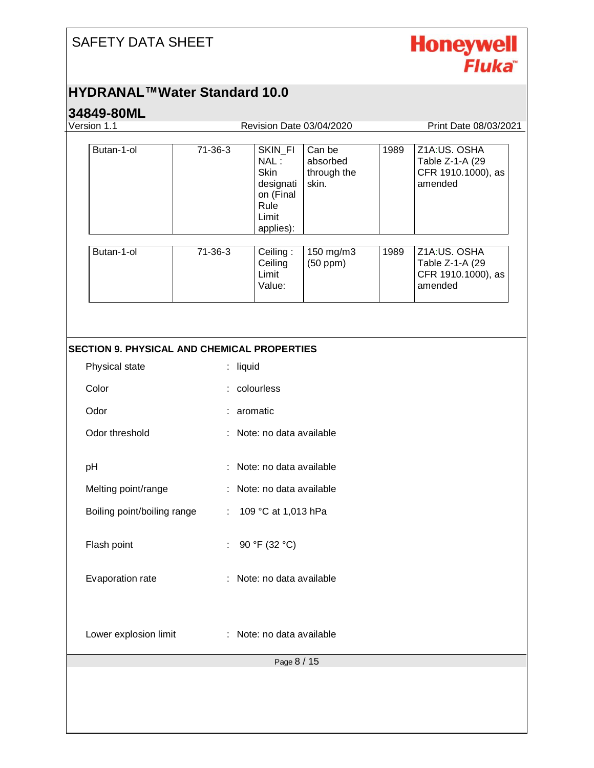

#### **HYDRANAL™Water Standard 10.0**

| Version 1.1                                        |                              | Revision Date 03/04/2020                                                        |                                            |      | Print Date 08/03/2021                                            |
|----------------------------------------------------|------------------------------|---------------------------------------------------------------------------------|--------------------------------------------|------|------------------------------------------------------------------|
| Butan-1-ol                                         | 71-36-3                      | SKIN_FI<br>NAL:<br>Skin<br>designati<br>on (Final<br>Rule<br>Limit<br>applies): | Can be<br>absorbed<br>through the<br>skin. | 1989 | Z1A:US. OSHA<br>Table Z-1-A (29<br>CFR 1910.1000), as<br>amended |
| Butan-1-ol                                         | 71-36-3                      | Ceiling:<br>Ceiling<br>Limit<br>Value:                                          | 150 mg/m3<br>$(50$ ppm $)$                 | 1989 | Z1A:US. OSHA<br>Table Z-1-A (29<br>CFR 1910.1000), as<br>amended |
| <b>SECTION 9. PHYSICAL AND CHEMICAL PROPERTIES</b> |                              |                                                                                 |                                            |      |                                                                  |
| Physical state                                     |                              | : liquid                                                                        |                                            |      |                                                                  |
| Color                                              |                              | colourless                                                                      |                                            |      |                                                                  |
| Odor                                               | aromatic                     |                                                                                 |                                            |      |                                                                  |
| Odor threshold                                     | Note: no data available      |                                                                                 |                                            |      |                                                                  |
| pH                                                 | Note: no data available      |                                                                                 |                                            |      |                                                                  |
| Melting point/range                                | : Note: no data available    |                                                                                 |                                            |      |                                                                  |
| Boiling point/boiling range                        | $\mathcal{L}_{\mathrm{eff}}$ | 109 °C at 1,013 hPa                                                             |                                            |      |                                                                  |
| Flash point                                        |                              | : 90 °F (32 °C)                                                                 |                                            |      |                                                                  |
| Evaporation rate                                   |                              | Note: no data available                                                         |                                            |      |                                                                  |
| Lower explosion limit                              |                              | Note: no data available                                                         |                                            |      |                                                                  |
|                                                    |                              |                                                                                 |                                            |      |                                                                  |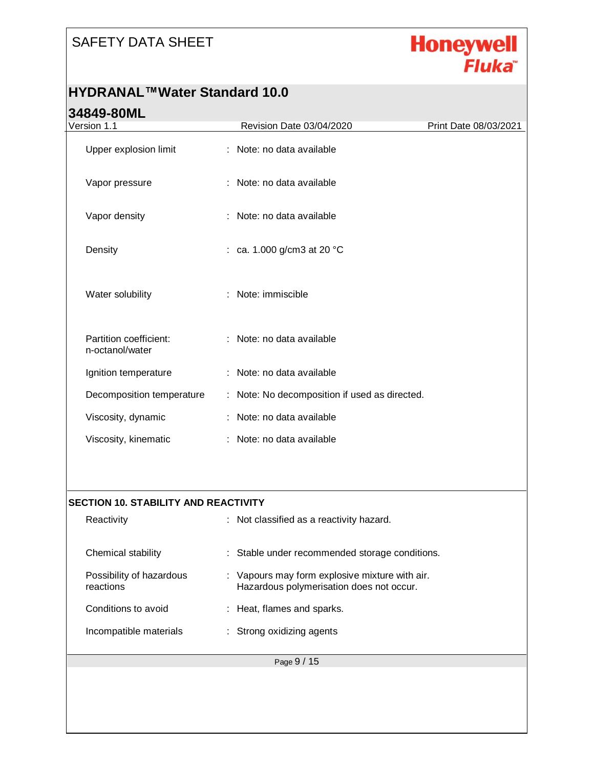

#### **HYDRANAL™Water Standard 10.0**

| Version 1.1                                 | Revision Date 03/04/2020                                                                   | Print Date 08/03/2021 |  |  |
|---------------------------------------------|--------------------------------------------------------------------------------------------|-----------------------|--|--|
| Upper explosion limit                       | : Note: no data available                                                                  |                       |  |  |
| Vapor pressure                              | : Note: no data available                                                                  |                       |  |  |
| Vapor density                               | Note: no data available                                                                    |                       |  |  |
| Density                                     | : ca. 1.000 g/cm3 at 20 °C                                                                 |                       |  |  |
| Water solubility                            | : Note: immiscible                                                                         |                       |  |  |
| Partition coefficient:<br>n-octanol/water   | : Note: no data available                                                                  |                       |  |  |
| Ignition temperature                        | : Note: no data available                                                                  |                       |  |  |
| Decomposition temperature                   | : Note: No decomposition if used as directed.                                              |                       |  |  |
| Viscosity, dynamic                          | Note: no data available                                                                    |                       |  |  |
| Viscosity, kinematic                        | : Note: no data available                                                                  |                       |  |  |
|                                             |                                                                                            |                       |  |  |
| <b>SECTION 10. STABILITY AND REACTIVITY</b> |                                                                                            |                       |  |  |
| Reactivity                                  | : Not classified as a reactivity hazard.                                                   |                       |  |  |
| Chemical stability                          | : Stable under recommended storage conditions.                                             |                       |  |  |
| Possibility of hazardous<br>reactions       | : Vapours may form explosive mixture with air.<br>Hazardous polymerisation does not occur. |                       |  |  |
| Conditions to avoid                         | : Heat, flames and sparks.                                                                 |                       |  |  |
| Incompatible materials                      | : Strong oxidizing agents                                                                  |                       |  |  |
|                                             | Page 9 / 15                                                                                |                       |  |  |
|                                             |                                                                                            |                       |  |  |
|                                             |                                                                                            |                       |  |  |
|                                             |                                                                                            |                       |  |  |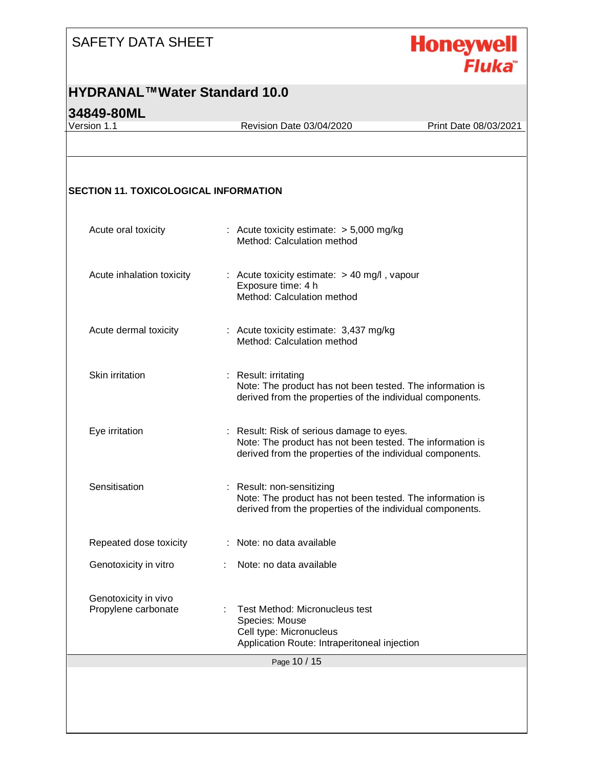

#### **HYDRANAL™Water Standard 10.0**

#### **34849-80ML**

Version 1.1 Revision Date 03/04/2020 Print Date 08/03/2021

#### **SECTION 11. TOXICOLOGICAL INFORMATION**

| Acute oral toxicity                         | : Acute toxicity estimate: $> 5,000$ mg/kg<br>Method: Calculation method                                                                                            |
|---------------------------------------------|---------------------------------------------------------------------------------------------------------------------------------------------------------------------|
| Acute inhalation toxicity                   | : Acute toxicity estimate: $> 40$ mg/l, vapour<br>Exposure time: 4 h<br>Method: Calculation method                                                                  |
| Acute dermal toxicity                       | : Acute toxicity estimate: 3,437 mg/kg<br>Method: Calculation method                                                                                                |
| Skin irritation                             | : Result: irritating<br>Note: The product has not been tested. The information is<br>derived from the properties of the individual components.                      |
| Eye irritation                              | : Result: Risk of serious damage to eyes.<br>Note: The product has not been tested. The information is<br>derived from the properties of the individual components. |
| Sensitisation                               | : Result: non-sensitizing<br>Note: The product has not been tested. The information is<br>derived from the properties of the individual components.                 |
| Repeated dose toxicity                      | : Note: no data available                                                                                                                                           |
| Genotoxicity in vitro                       | Note: no data available                                                                                                                                             |
| Genotoxicity in vivo<br>Propylene carbonate | Test Method: Micronucleus test<br>Species: Mouse<br>Cell type: Micronucleus<br>Application Route: Intraperitoneal injection                                         |
|                                             | Page 10 / 15                                                                                                                                                        |
|                                             |                                                                                                                                                                     |
|                                             |                                                                                                                                                                     |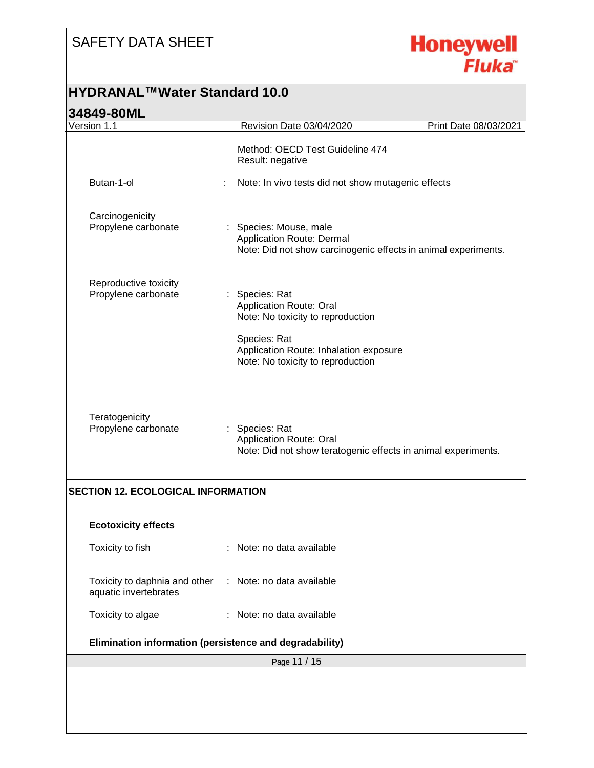

#### **HYDRANAL™Water Standard 10.0**

| J404J-0UIVIL                                            |                                                                                                                       |                       |
|---------------------------------------------------------|-----------------------------------------------------------------------------------------------------------------------|-----------------------|
| Version 1.1                                             | Revision Date 03/04/2020                                                                                              | Print Date 08/03/2021 |
|                                                         | Method: OECD Test Guideline 474<br>Result: negative                                                                   |                       |
| Butan-1-ol                                              | Note: In vivo tests did not show mutagenic effects                                                                    |                       |
| Carcinogenicity<br>Propylene carbonate                  | : Species: Mouse, male<br>Application Route: Dermal<br>Note: Did not show carcinogenic effects in animal experiments. |                       |
| Reproductive toxicity<br>Propylene carbonate            | Species: Rat<br><b>Application Route: Oral</b><br>Note: No toxicity to reproduction<br>Species: Rat                   |                       |
|                                                         | Application Route: Inhalation exposure<br>Note: No toxicity to reproduction                                           |                       |
| Teratogenicity<br>Propylene carbonate                   | : Species: Rat<br>Application Route: Oral<br>Note: Did not show teratogenic effects in animal experiments.            |                       |
| <b>SECTION 12. ECOLOGICAL INFORMATION</b>               |                                                                                                                       |                       |
| <b>Ecotoxicity effects</b>                              |                                                                                                                       |                       |
| Toxicity to fish                                        | : Note: no data available                                                                                             |                       |
| Toxicity to daphnia and other<br>aquatic invertebrates  | : Note: no data available                                                                                             |                       |
|                                                         | : Note: no data available                                                                                             |                       |
| Toxicity to algae                                       |                                                                                                                       |                       |
| Elimination information (persistence and degradability) |                                                                                                                       |                       |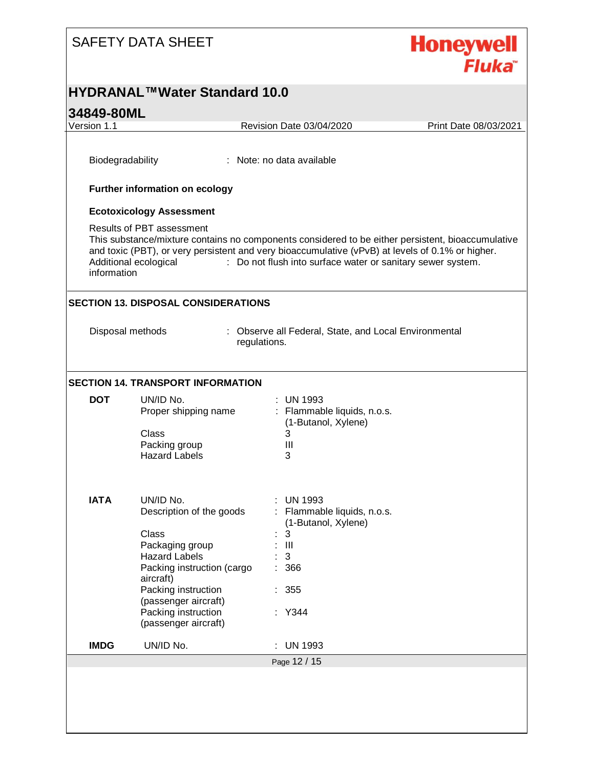

#### **HYDRANAL™Water Standard 10.0**

#### **34849-80ML** Page 12 / 15 Version 1.1 Revision Date 03/04/2020 Print Date 08/03/2021 Biodegradability : Note: no data available **Further information on ecology Ecotoxicology Assessment** Results of PBT assessment This substance/mixture contains no components considered to be either persistent, bioaccumulative and toxic (PBT), or very persistent and very bioaccumulative (vPvB) at levels of 0.1% or higher. Additional ecological information : Do not flush into surface water or sanitary sewer system. **SECTION 13. DISPOSAL CONSIDERATIONS** Disposal methods : Observe all Federal, State, and Local Environmental regulations. **SECTION 14. TRANSPORT INFORMATION DOT** UN/ID No. : UN 1993 Proper shipping name : Flammable liquids, n.o.s. (1-Butanol, Xylene) Class 3<br>Packing group 6 11 Packing group Hazard Labels 3 **IATA** UN/ID No. : UN 1993 Description of the goods : Flammable liquids, n.o.s. (1-Butanol, Xylene) Class : 3 Packaging group : III Hazard Labels : 3 Packing instruction (cargo aircraft) : 366 Packing instruction (passenger aircraft) : 355 Packing instruction (passenger aircraft) : Y344 **IMDG** UN/ID No. : UN 1993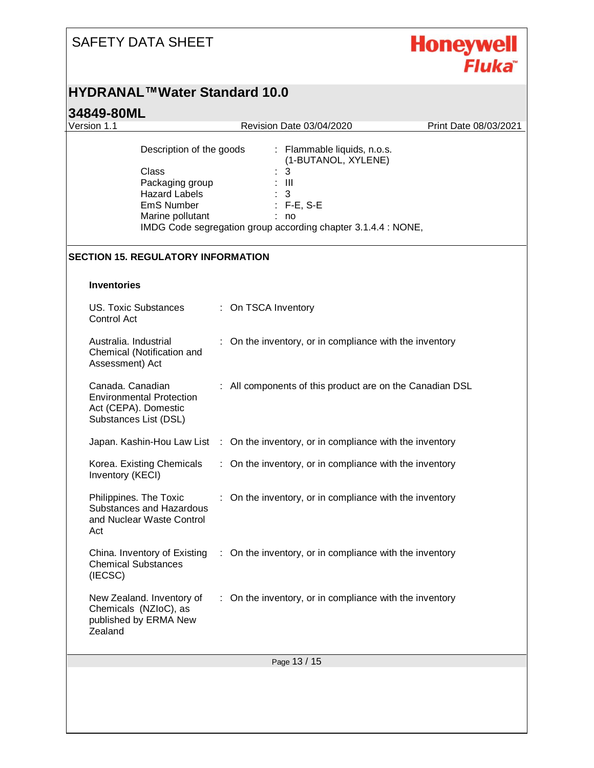# Honeywell<br>Fluka

#### **HYDRANAL™Water Standard 10.0**

| JTUTJ <sup>-</sup> UUIVIL<br>Version 1.1                                                                       | Revision Date 03/04/2020                                                                                                                                                | Print Date 08/03/2021 |
|----------------------------------------------------------------------------------------------------------------|-------------------------------------------------------------------------------------------------------------------------------------------------------------------------|-----------------------|
| Description of the goods<br>Class<br>Packaging group<br><b>Hazard Labels</b><br>EmS Number<br>Marine pollutant | : Flammable liquids, n.o.s.<br>(1-BUTANOL, XYLENE)<br>3<br>$:$ $\mathbb{H}$<br>3<br>$: F-E, S-E$<br>no<br>IMDG Code segregation group according chapter 3.1.4.4 : NONE, |                       |
| <b>SECTION 15. REGULATORY INFORMATION</b>                                                                      |                                                                                                                                                                         |                       |
| <b>Inventories</b>                                                                                             |                                                                                                                                                                         |                       |
| <b>US. Toxic Substances</b><br>Control Act                                                                     | : On TSCA Inventory                                                                                                                                                     |                       |
| Australia. Industrial<br>Chemical (Notification and<br>Assessment) Act                                         | : On the inventory, or in compliance with the inventory                                                                                                                 |                       |
| Canada. Canadian<br><b>Environmental Protection</b><br>Act (CEPA). Domestic<br>Substances List (DSL)           | : All components of this product are on the Canadian DSL                                                                                                                |                       |
|                                                                                                                | Japan. Kashin-Hou Law List : On the inventory, or in compliance with the inventory                                                                                      |                       |
| Korea. Existing Chemicals<br>Inventory (KECI)                                                                  | : On the inventory, or in compliance with the inventory                                                                                                                 |                       |
| Philippines. The Toxic<br>Substances and Hazardous<br>and Nuclear Waste Control<br>Act                         | On the inventory, or in compliance with the inventory                                                                                                                   |                       |
| China. Inventory of Existing<br><b>Chemical Substances</b><br>(IECSC)                                          | : On the inventory, or in compliance with the inventory                                                                                                                 |                       |
| New Zealand. Inventory of<br>Chemicals (NZIoC), as<br>published by ERMA New<br>Zealand                         | : On the inventory, or in compliance with the inventory                                                                                                                 |                       |
|                                                                                                                | Page 13 / 15                                                                                                                                                            |                       |
|                                                                                                                |                                                                                                                                                                         |                       |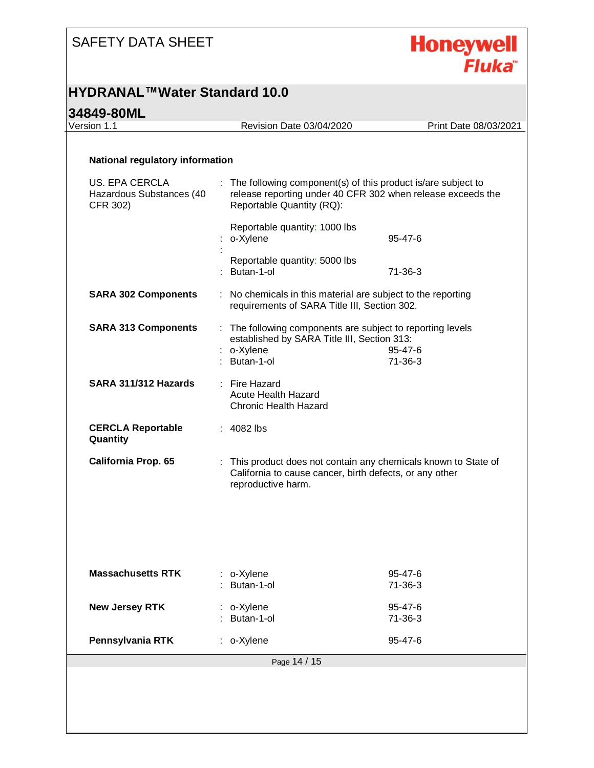

#### **HYDRANAL™Water Standard 10.0**

# **34849-80ML**<br>Version 1.1

Revision Date 03/04/2020 Print Date 08/03/2021

#### **National regulatory information**

| US. EPA CERCLA<br>Hazardous Substances (40<br>CFR 302) | : The following component(s) of this product is/are subject to<br>release reporting under 40 CFR 302 when release exceeds the<br>Reportable Quantity (RQ):  |                          |  |
|--------------------------------------------------------|-------------------------------------------------------------------------------------------------------------------------------------------------------------|--------------------------|--|
|                                                        | Reportable quantity: 1000 lbs<br>o-Xylene                                                                                                                   | $95 - 47 - 6$            |  |
|                                                        | Reportable quantity: 5000 lbs<br>Butan-1-ol                                                                                                                 | 71-36-3                  |  |
| <b>SARA 302 Components</b>                             | : No chemicals in this material are subject to the reporting<br>requirements of SARA Title III, Section 302.                                                |                          |  |
| <b>SARA 313 Components</b>                             | : The following components are subject to reporting levels<br>established by SARA Title III, Section 313:<br>o-Xylene<br>95-47-6<br>Butan-1-ol<br>$71-36-3$ |                          |  |
| SARA 311/312 Hazards                                   | : Fire Hazard<br><b>Acute Health Hazard</b><br><b>Chronic Health Hazard</b>                                                                                 |                          |  |
| <b>CERCLA Reportable</b><br>Quantity                   | $: 4082$ lbs                                                                                                                                                |                          |  |
| <b>California Prop. 65</b>                             | : This product does not contain any chemicals known to State of<br>California to cause cancer, birth defects, or any other<br>reproductive harm.            |                          |  |
|                                                        |                                                                                                                                                             |                          |  |
| <b>Massachusetts RTK</b>                               | : o-Xylene<br>Butan-1-ol                                                                                                                                    | $95 - 47 - 6$<br>71-36-3 |  |
| <b>New Jersey RTK</b>                                  | : o-Xylene<br>Butan-1-ol                                                                                                                                    | 95-47-6<br>$71-36-3$     |  |
| Pennsylvania RTK                                       | o-Xylene                                                                                                                                                    | 95-47-6                  |  |
|                                                        | Page 14 / 15                                                                                                                                                |                          |  |
|                                                        |                                                                                                                                                             |                          |  |
|                                                        |                                                                                                                                                             |                          |  |
|                                                        |                                                                                                                                                             |                          |  |